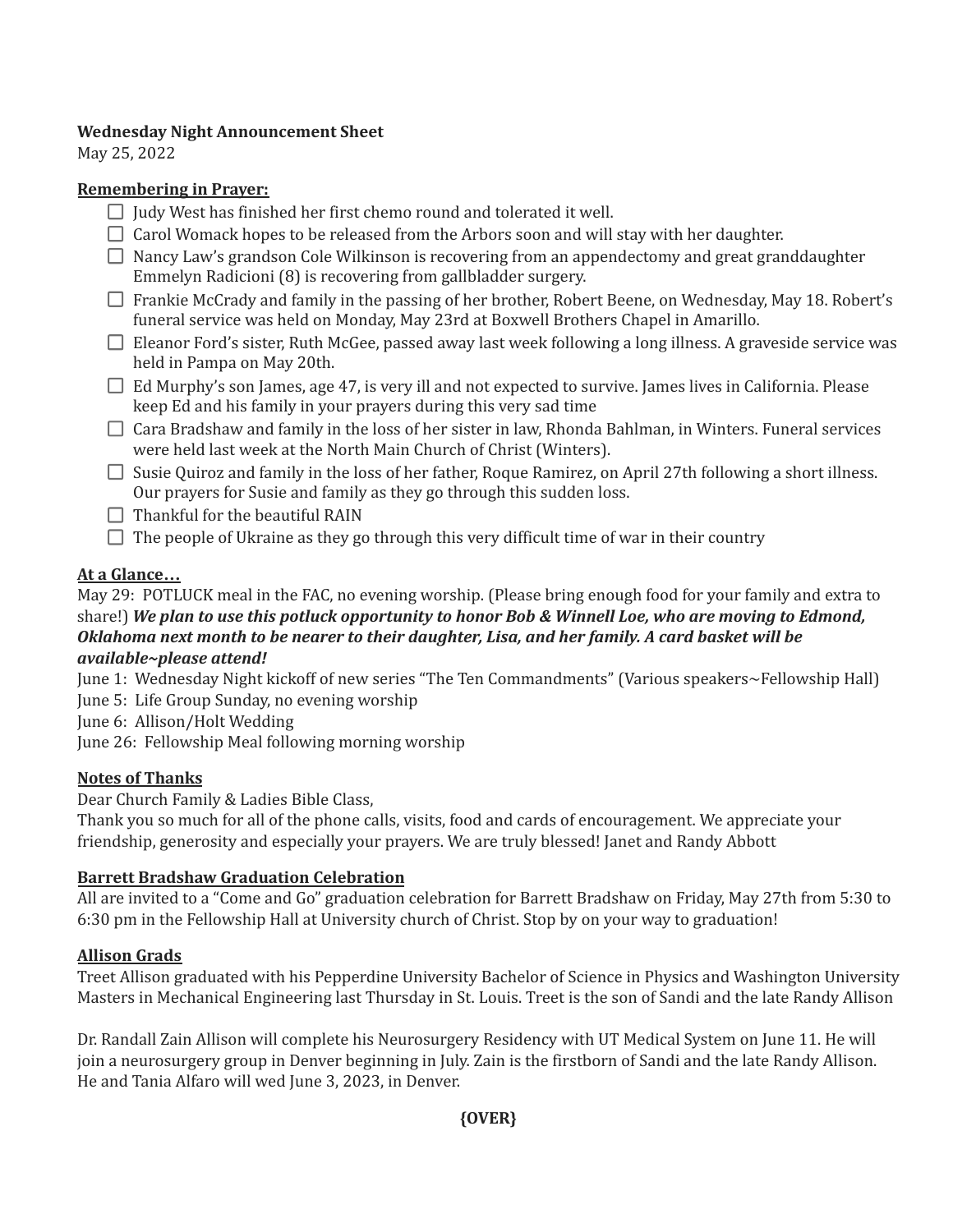### **Wednesday Night Announcement Sheet**

May 25, 2022

### **Remembering in Prayer:**

- $\Box$  Judy West has finished her first chemo round and tolerated it well.
- $\Box$  Carol Womack hopes to be released from the Arbors soon and will stay with her daughter.
- $\Box$  Nancy Law's grandson Cole Wilkinson is recovering from an appendectomy and great granddaughter Emmelyn Radicioni (8) is recovering from gallbladder surgery.
- □ Frankie McCrady and family in the passing of her brother, Robert Beene, on Wednesday, May 18. Robert's funeral service was held on Monday, May 23rd at Boxwell Brothers Chapel in Amarillo.
- $\Box$  Eleanor Ford's sister, Ruth McGee, passed away last week following a long illness. A graveside service was held in Pampa on May 20th.
- $\Box$  Ed Murphy's son James, age 47, is very ill and not expected to survive. James lives in California. Please keep Ed and his family in your prayers during this very sad time
- $\Box$  Cara Bradshaw and family in the loss of her sister in law, Rhonda Bahlman, in Winters. Funeral services were held last week at the North Main Church of Christ (Winters).
- $\Box$  Susie Quiroz and family in the loss of her father, Roque Ramirez, on April 27th following a short illness. Our prayers for Susie and family as they go through this sudden loss.
- $\Box$  Thankful for the beautiful RAIN
- $\Box$  The people of Ukraine as they go through this very difficult time of war in their country

# **At a Glance…**

May 29: POTLUCK meal in the FAC, no evening worship. (Please bring enough food for your family and extra to share!) We plan to use this potluck opportunity to honor Bob & Winnell Loe, who are moving to Edmond, *Oklahoma next month to be nearer to their daughter, Lisa, and her family. A card basket will be available~please attend!*

June 1: Wednesday Night kickoff of new series "The Ten Commandments" (Various speakers~Fellowship Hall)

June 5: Life Group Sunday, no evening worship

June 6: Allison/Holt Wedding

June 26: Fellowship Meal following morning worship

# **Notes of Thanks**

Dear Church Family & Ladies Bible Class,

Thank you so much for all of the phone calls, visits, food and cards of encouragement. We appreciate your friendship, generosity and especially your prayers. We are truly blessed! Janet and Randy Abbott

# **Barrett Bradshaw Graduation Celebration**

All are invited to a "Come and Go" graduation celebration for Barrett Bradshaw on Friday, May 27th from 5:30 to 6:30 pm in the Fellowship Hall at University church of Christ. Stop by on your way to graduation!

# **Allison Grads**

Treet Allison graduated with his Pepperdine University Bachelor of Science in Physics and Washington University Masters in Mechanical Engineering last Thursday in St. Louis. Treet is the son of Sandi and the late Randy Allison

Dr. Randall Zain Allison will complete his Neurosurgery Residency with UT Medical System on June 11. He will join a neurosurgery group in Denver beginning in July. Zain is the firstborn of Sandi and the late Randy Allison. He and Tania Alfaro will wed June 3, 2023, in Denver.